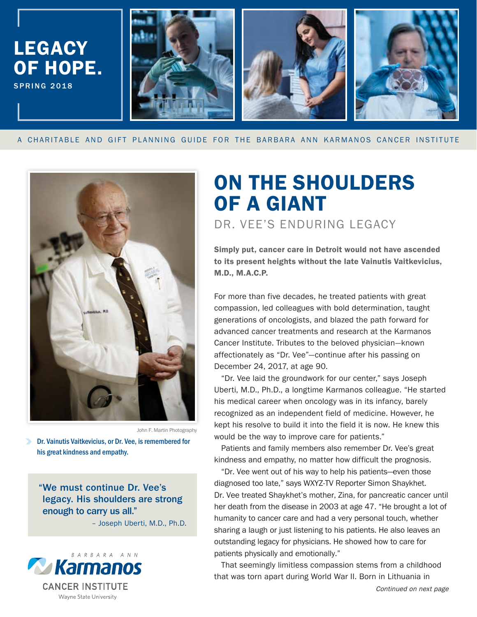

A CHARITABLE AND GIFT PLANNING GUIDE FOR THE BARBARA ANN KARMANOS CANCER INSTITUTE



John F. Martin Photography

**Dr. Vainutis Vaitkevicius, or Dr. Vee, is remembered for** his great kindness and empathy.

"We must continue Dr. Vee's legacy. His shoulders are strong enough to carry us all."

– Joseph Uberti, M.D., Ph.D.



# ON THE SHOULDERS OF A GIANT

DR. VEE'S ENDURING LEGACY

Simply put, cancer care in Detroit would not have ascended to its present heights without the late Vainutis Vaitkevicius, M.D., M.A.C.P.

For more than five decades, he treated patients with great compassion, led colleagues with bold determination, taught generations of oncologists, and blazed the path forward for advanced cancer treatments and research at the Karmanos Cancer Institute. Tributes to the beloved physician—known affectionately as "Dr. Vee"—continue after his passing on December 24, 2017, at age 90.

"Dr. Vee laid the groundwork for our center," says Joseph Uberti, M.D., Ph.D., a longtime Karmanos colleague. "He started his medical career when oncology was in its infancy, barely recognized as an independent field of medicine. However, he kept his resolve to build it into the field it is now. He knew this would be the way to improve care for patients."

Patients and family members also remember Dr. Vee's great kindness and empathy, no matter how difficult the prognosis.

"Dr. Vee went out of his way to help his patients—even those diagnosed too late," says WXYZ-TV Reporter Simon Shaykhet. Dr. Vee treated Shaykhet's mother, Zina, for pancreatic cancer until her death from the disease in 2003 at age 47. "He brought a lot of humanity to cancer care and had a very personal touch, whether sharing a laugh or just listening to his patients. He also leaves an outstanding legacy for physicians. He showed how to care for patients physically and emotionally."

Continued on next page That seemingly limitless compassion stems from a childhood that was torn apart during World War II. Born in Lithuania in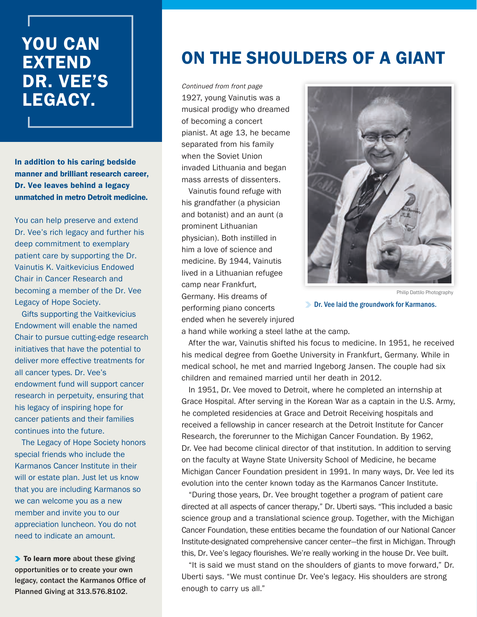## YOU CAN EXTEND DR. VEE'S LEGACY.

In addition to his caring bedside manner and brilliant research career, Dr. Vee leaves behind a legacy unmatched in metro Detroit medicine.

You can help preserve and extend Dr. Vee's rich legacy and further his deep commitment to exemplary patient care by supporting the Dr. Vainutis K. Vaitkevicius Endowed Chair in Cancer Research and becoming a member of the Dr. Vee Legacy of Hope Society.

Gifts supporting the Vaitkevicius Endowment will enable the named Chair to pursue cutting-edge research initiatives that have the potential to deliver more effective treatments for all cancer types. Dr. Vee's endowment fund will support cancer research in perpetuity, ensuring that his legacy of inspiring hope for cancer patients and their families continues into the future.

The Legacy of Hope Society honors special friends who include the Karmanos Cancer Institute in their will or estate plan. Just let us know that you are including Karmanos so we can welcome you as a new member and invite you to our appreciation luncheon. You do not need to indicate an amount.

▶ To learn more about these giving opportunities or to create your own legacy, contact the Karmanos Office of Planned Giving at 313.576.8102.

## ON THE SHOULDERS OF A GIANT

1927, young Vainutis was a musical prodigy who dreamed of becoming a concert pianist. At age 13, he became separated from his family when the Soviet Union invaded Lithuania and began mass arrests of dissenters. Continued from front page

Vainutis found refuge with his grandfather (a physician and botanist) and an aunt (a prominent Lithuanian physician). Both instilled in him a love of science and medicine. By 1944, Vainutis lived in a Lithuanian refugee camp near Frankfurt, Germany. His dreams of performing piano concerts ended when he severely injured



Philip Dattilo Photography

**Dr. Vee laid the groundwork for Karmanos.** 

a hand while working a steel lathe at the camp.

After the war, Vainutis shifted his focus to medicine. In 1951, he received his medical degree from Goethe University in Frankfurt, Germany. While in medical school, he met and married Ingeborg Jansen. The couple had six children and remained married until her death in 2012.

In 1951, Dr. Vee moved to Detroit, where he completed an internship at Grace Hospital. After serving in the Korean War as a captain in the U.S. Army, he completed residencies at Grace and Detroit Receiving hospitals and received a fellowship in cancer research at the Detroit Institute for Cancer Research, the forerunner to the Michigan Cancer Foundation. By 1962, Dr. Vee had become clinical director of that institution. In addition to serving on the faculty at Wayne State University School of Medicine, he became Michigan Cancer Foundation president in 1991. In many ways, Dr. Vee led its evolution into the center known today as the Karmanos Cancer Institute.

"During those years, Dr. Vee brought together a program of patient care directed at all aspects of cancer therapy," Dr. Uberti says. "This included a basic science group and a translational science group. Together, with the Michigan Cancer Foundation, these entities became the foundation of our National Cancer Institute-designated comprehensive cancer center—the first in Michigan. Through this, Dr. Vee's legacy flourishes. We're really working in the house Dr. Vee built.

"It is said we must stand on the shoulders of giants to move forward," Dr. Uberti says. "We must continue Dr. Vee's legacy. His shoulders are strong enough to carry us all."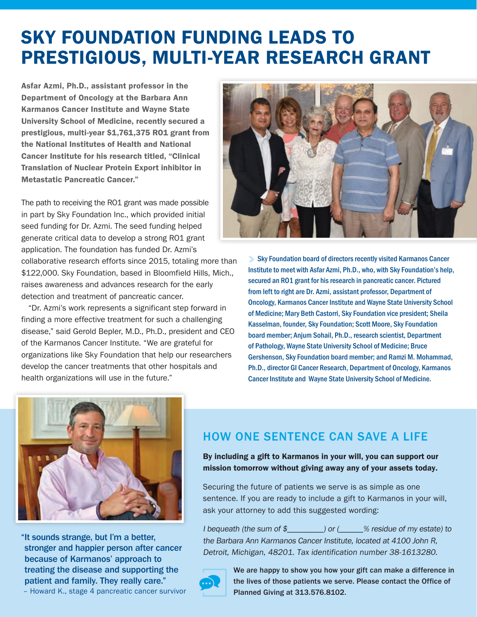# SKY FOUNDATION FUNDING LEADS TO PRESTIGIOUS, MULTI-YEAR RESEARCH GRANT

Asfar Azmi, Ph.D., assistant professor in the Department of Oncology at the Barbara Ann Karmanos Cancer Institute and Wayne State University School of Medicine, recently secured a prestigious, multi-year \$1,761,375 RO1 grant from the National Institutes of Health and National Cancer Institute for his research titled, "Clinical Translation of Nuclear Protein Export inhibitor in Metastatic Pancreatic Cancer."

The path to receiving the RO1 grant was made possible in part by Sky Foundation Inc., which provided initial seed funding for Dr. Azmi. The seed funding helped generate critical data to develop a strong RO1 grant application. The foundation has funded Dr. Azmi's collaborative research efforts since 2015, totaling more than \$122,000. Sky Foundation, based in Bloomfield Hills, Mich., raises awareness and advances research for the early

detection and treatment of pancreatic cancer.

"Dr. Azmi's work represents a significant step forward in finding a more effective treatment for such a challenging disease," said Gerold Bepler, M.D., Ph.D., president and CEO of the Karmanos Cancer Institute. "We are grateful for organizations like Sky Foundation that help our researchers develop the cancer treatments that other hospitals and health organizations will use in the future."



**Sky Foundation board of directors recently visited Karmanos Cancer** Institute to meet with Asfar Azmi, Ph.D., who, with Sky Foundation's help, secured an RO1 grant for his research in pancreatic cancer. Pictured from left to right are Dr. Azmi, assistant professor, Department of Oncology, Karmanos Cancer Institute and Wayne State University School of Medicine; Mary Beth Castorri, Sky Foundation vice president; Sheila Kasselman, founder, Sky Foundation; Scott Moore, Sky Foundation board member; Anjum Sohail, Ph.D., research scientist, Department of Pathology, Wayne State University School of Medicine; Bruce Gershenson, Sky Foundation board member; and Ramzi M. Mohammad, Ph.D., director GI Cancer Research, Department of Oncology, Karmanos Cancer Institute and Wayne State University School of Medicine.



"It sounds strange, but I'm a better, stronger and happier person after cancer because of Karmanos' approach to treating the disease and supporting the patient and family. They really care."

– Howard K., stage 4 pancreatic cancer survivor

### HOW ONE SENTENCE CAN SAVE A LIFE

By including a gift to Karmanos in your will, you can support our mission tomorrow without giving away any of your assets today.

Securing the future of patients we serve is as simple as one sentence. If you are ready to include a gift to Karmanos in your will, ask your attorney to add this suggested wording:

I bequeath (the sum of \$\_\_\_\_\_\_\_\_\_) or (\_\_\_\_\_\_% residue of my estate) to the Barbara Ann Karmanos Cancer Institute, located at 4100 John R, Detroit, Michigan, 48201. Tax identification number 38-1613280.



We are happy to show you how your gift can make a difference in the lives of those patients we serve. Please contact the Office of Planned Giving at 313.576.8102.